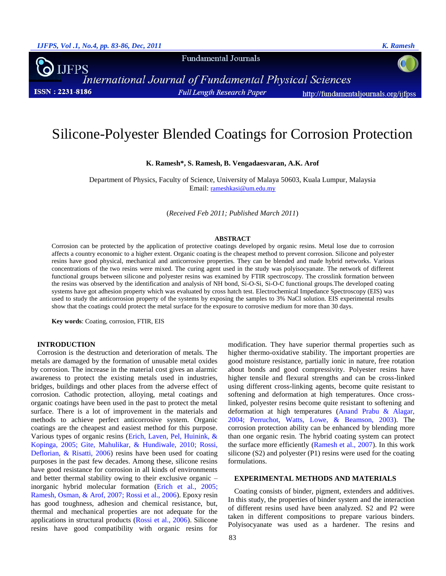**Fundamental Journals** 



**International Journal of Fundamental Physical Sciences Full Length Research Paper** http://fundamentaljournals.org/ijfpss

# Silicone-Polyester Blended Coatings for Corrosion Protection

## **K. Ramesh\*, S. Ramesh, B. Vengadaesvaran, A.K. Arof**

Department of Physics, Faculty of Science, University of Malaya 50603, Kuala Lumpur, Malaysia Email: [rameshkasi@um.edu.my](mailto:rameshkasi@um.edu.my)

(*Received Feb 2011; Published March 2011*)

## **ABSTRACT**

Corrosion can be protected by the application of protective coatings developed by organic resins. Metal lose due to corrosion affects a country economic to a higher extent. Organic coating is the cheapest method to prevent corrosion. Silicone and polyester resins have good physical, mechanical and anticorrosive properties. They can be blended and made hybrid networks. Various concentrations of the two resins were mixed. The curing agent used in the study was polyisocyanate. The network of different functional groups between silicone and polyester resins was examined by FTIR spectroscopy. The crosslink formation between the resins was observed by the identification and analysis of NH bond, Si-O-Si, Si-O-C functional groups.The developed coating systems have got adhesion property which was evaluated by cross hatch test. Electrochemical Impedance Spectroscopy (EIS) was used to study the anticorrosion property of the systems by exposing the samples to 3% NaCl solution. EIS experimental results show that the coatings could protect the metal surface for the exposure to corrosive medium for more than 30 days.

**Key words**: Coating, corrosion, FTIR, EIS

# **INTRODUCTION**

Corrosion is the destruction and deterioration of metals. The metals are damaged by the formation of unusable metal oxides by corrosion. The increase in the material cost gives an alarmic awareness to protect the existing metals used in industries, bridges, buildings and other places from the adverse effect of corrosion. Cathodic protection, alloying, metal coatings and organic coatings have been used in the past to protect the metal surface. There is a lot of improvement in the materials and methods to achieve perfect anticorrosive system. Organic coatings are the cheapest and easiest method for this purpose. Various types of organic resins [\(Erich, Laven, Pel, Huinink, &](#page-2-0)  [Kopinga, 2005;](#page-2-0) [Gite, Mahulikar, & Hundiwale, 2010;](#page-2-1) [Rossi,](#page-3-0)  [Deflorian, & Risatti, 2006\)](#page-3-0) resins have been used for coating purposes in the past few decades. Among these, silicone resins have good resistance for corrosion in all kinds of environments and better thermal stability owing to their exclusive organic – inorganic hybrid molecular formation [\(Erich et al., 2005;](#page-2-0) [Ramesh, Osman, & Arof, 2007;](#page-3-1) [Rossi et al., 2006\)](#page-3-0). Epoxy resin has good toughness, adhesion and chemical resistance, but, thermal and mechanical properties are not adequate for the applications in structural products [\(Rossi et al., 2006\)](#page-3-0). Silicone resins have good compatibility with organic resins for

modification. They have superior thermal properties such as higher thermo-oxidative stability. The important properties are good moisture resistance, partially ionic in nature, free rotation about bonds and good compressivity. Polyester resins have higher tensile and flexural strengths and can be cross-linked using different cross-linking agents, become quite resistant to softening and deformation at high temperatures. Once crosslinked, polyester resins become quite resistant to softening and deformation at high temperatures [\(Anand Prabu & Alagar,](#page-2-2)  [2004;](#page-2-2) [Perruchot, Watts, Lowe, & Beamson, 2003\)](#page-2-3). The corrosion protection ability can be enhanced by blending more than one organic resin. The hybrid coating system can protect the surface more efficiently [\(Ramesh et al., 2007\)](#page-3-1). In this work silicone (S2) and polyester (P1) resins were used for the coating formulations.

# **EXPERIMENTAL METHODS AND MATERIALS**

Coating consists of binder, pigment, extenders and additives. In this study, the properties of binder system and the interaction of different resins used have been analyzed. S2 and P2 were taken in different compositions to prepare various binders. Polyisocyanate was used as a hardener. The resins and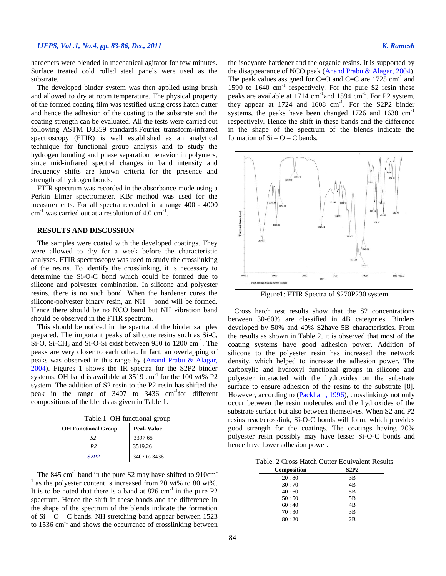hardeners were blended in mechanical agitator for few minutes. Surface treated cold rolled steel panels were used as the substrate.

The developed binder system was then applied using brush and allowed to dry at room temperature. The physical property of the formed coating film was testified using cross hatch cutter and hence the adhesion of the coating to the substrate and the coating strength can be evaluated. All the tests were carried out following ASTM D3359 standards.Fourier transform-infrared spectroscopy (FTIR) is well established as an analytical technique for functional group analysis and to study the hydrogen bonding and phase separation behavior in polymers, since mid-infrared spectral changes in band intensity and frequency shifts are known criteria for the presence and strength of hydrogen bonds.

FTIR spectrum was recorded in the absorbance mode using a Perkin Elmer spectrometer. KBr method was used for the measurements. For all spectra recorded in a range 400 - 4000  $cm^{-1}$  was carried out at a resolution of 4.0  $cm^{-1}$ .

# **RESULTS AND DISCUSSION**

The samples were coated with the developed coatings. They were allowed to dry for a week before the characteristic analyses. FTIR spectroscopy was used to study the crosslinking of the resins. To identify the crosslinking, it is necessary to determine the Si-O-C bond which could be formed due to silicone and polyester combination. In silicone and polyester resins, there is no such bond. When the hardener cures the silicone-polyester binary resin, an NH – bond will be formed. Hence there should be no NCO band but NH vibration band should be observed in the FTIR spectrum.

This should be noticed in the spectra of the binder samples prepared. The important peaks of silicone resins such as Si-C, Si-O, Si-CH<sub>3</sub> and Si-O-Si exist between 950 to 1200 cm<sup>-1</sup>. The peaks are very closer to each other. In fact, an overlapping of peaks was observed in this range by [\(Anand Prabu & Alagar,](#page-2-2)  [2004\)](#page-2-2). Figures 1 shows the IR spectra for the S2P2 binder systems. OH band is available at  $3519 \text{ cm}^{-1}$  for the 100 wt% P2 system. The addition of S2 resin to the P2 resin has shifted the peak in the range of  $3407$  to  $3436$  cm<sup>-1</sup>for different compositions of the blends as given in Table 1.

Table.1 OH functional group

| <b>OH Functional Group</b> | <b>Peak Value</b> |
|----------------------------|-------------------|
| S2                         | 3397.65           |
| P2                         | 3519.26           |
| S2P2                       | 3407 to 3436      |

The  $845 \text{ cm}^{-1}$  band in the pure S2 may have shifted to  $910 \text{ cm}^{-1}$ <sup>1</sup> as the polyester content is increased from 20 wt% to 80 wt%. It is to be noted that there is a band at  $826 \text{ cm}^{-1}$  in the pure P2 spectrum. Hence the shift in these bands and the difference in the shape of the spectrum of the blends indicate the formation of  $Si - O - C$  bands. NH stretching band appear between 1523 to  $1536 \text{ cm}^{-1}$  and shows the occurrence of crosslinking between the isocyante hardener and the organic resins. It is supported by the disappearance of NCO peak [\(Anand Prabu & Alagar, 2004\)](#page-2-2). The peak values assigned for C=O and C=C are  $1725 \text{ cm}^{-1}$  and 1590 to  $1640 \text{ cm}^{-1}$  respectively. For the pure S2 resin these peaks are available at  $1714 \text{ cm}^{-1}$  and  $1594 \text{ cm}^{-1}$ . For P2 system, they appear at  $1724$  and  $1608$  cm<sup>-1</sup>. For the S2P2 binder systems, the peaks have been changed 1726 and 1638 cm<sup>-1</sup> respectively. Hence the shift in these bands and the difference in the shape of the spectrum of the blends indicate the formation of  $Si - O - C$  bands.



Figure1: FTIR Spectra of S270P230 system

Cross hatch test results show that the S2 concentrations between 30-60% are classified in 4B categories. Binders developed by 50% and 40% S2have 5B characteristics. From the results as shown in Table 2, it is observed that most of the coating systems have good adhesion power. Addition of silicone to the polyester resin has increased the network density, which helped to increase the adhesion power. The carboxylic and hydroxyl functional groups in silicone and polyester interacted with the hydroxides on the substrate surface to ensure adhesion of the resins to the substrate [8]. However, according to [\(Packham, 1996\)](#page-2-4), crosslinkings not only occur between the resin molecules and the hydroxides of the substrate surface but also between themselves. When S2 and P2 resins react/crosslink, Si-O-C bonds will form, which provides good strength for the coatings. The coatings having 20% polyester resin possibly may have lesser Si-O-C bonds and hence have lower adhesion power.

Table. 2 Cross Hatch Cutter Equivalent Results

| <b>Composition</b> | <b>S2P2</b> |
|--------------------|-------------|
| 20:80              | 3B          |
| 30:70              | 4B          |
| 40:60              | 5Β          |
| 50:50              | 5Β          |
| 60:40              | 4B          |
| 70:30              | 3B          |
| 80:20              | 2B          |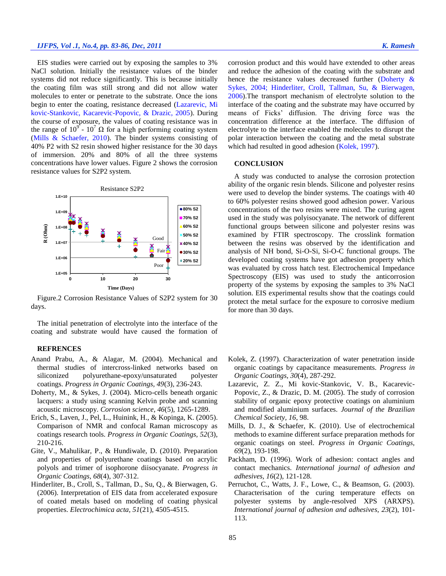# *IJFPS, Vol .1, No.4, pp. 83-86, Dec, 2011 K. Ramesh*

EIS studies were carried out by exposing the samples to 3% NaCl solution. Initially the resistance values of the binder systems did not reduce significantly. This is because initially the coating film was still strong and did not allow water molecules to enter or penetrate to the substrate. Once the ions begin to enter the coating, resistance decreased [\(Lazarevic, Mi](#page-2-5)  [kovic-Stankovic, Kacarevic-Popovic, & Drazic, 2005\)](#page-2-5). During the course of exposure, the values of coating resistance was in the range of  $10^9$  -  $10^7 \Omega$  for a high performing coating system [\(Mills & Schaefer, 2010\)](#page-2-6). The binder systems consisting of 40% P2 with S2 resin showed higher resistance for the 30 days of immersion. 20% and 80% of all the three systems concentrations have lower values. Figure 2 shows the corrosion resistance values for S2P2 system.



Figure.2 Corrosion Resistance Values of S2P2 system for 30 days.

The initial penetration of electrolyte into the interface of the coating and substrate would have caused the formation of

#### **REFRENCES**

- <span id="page-2-2"></span>Anand Prabu, A., & Alagar, M. (2004). Mechanical and thermal studies of intercross-linked networks based on siliconized polyurethane-epoxy/unsaturated polyester coatings. *Progress in Organic Coatings, 49*(3), 236-243.
- <span id="page-2-7"></span>Doherty, M., & Sykes, J. (2004). Micro-cells beneath organic lacquers: a study using scanning Kelvin probe and scanning acoustic microscopy. *Corrosion science, 46*(5), 1265-1289.
- <span id="page-2-0"></span>Erich, S., Laven, J., Pel, L., Huinink, H., & Kopinga, K. (2005). Comparison of NMR and confocal Raman microscopy as coatings research tools. *Progress in Organic Coatings, 52*(3), 210-216.
- <span id="page-2-1"></span>Gite, V., Mahulikar, P., & Hundiwale, D. (2010). Preparation and properties of polyurethane coatings based on acrylic polyols and trimer of isophorone diisocyanate. *Progress in Organic Coatings, 68*(4), 307-312.
- <span id="page-2-8"></span>Hinderliter, B., Croll, S., Tallman, D., Su, Q., & Bierwagen, G. (2006). Interpretation of EIS data from accelerated exposure of coated metals based on modeling of coating physical properties. *Electrochimica acta, 51*(21), 4505-4515.

corrosion product and this would have extended to other areas and reduce the adhesion of the coating with the substrate and hence the resistance values decreased further [\(Doherty &](#page-2-7)  [Sykes, 2004;](#page-2-7) [Hinderliter, Croll, Tallman, Su, & Bierwagen,](#page-2-8)  [2006\)](#page-2-8).The transport mechanism of electrolyte solution to the interface of the coating and the substrate may have occurred by means of Ficks' diffusion. The driving force was the concentration difference at the interface. The diffusion of electrolyte to the interface enabled the molecules to disrupt the polar interaction between the coating and the metal substrate which had resulted in good adhesion [\(Kolek, 1997\)](#page-2-9).

## **CONCLUSION**

A study was conducted to analyse the corrosion protection ability of the organic resin blends. Silicone and polyester resins were used to develop the binder systems. The coatings with 40 to 60% polyester resins showed good adhesion power. Various concentrations of the two resins were mixed. The curing agent used in the study was polyisocyanate. The network of different functional groups between silicone and polyester resins was examined by FTIR spectroscopy. The crosslink formation between the resins was observed by the identification and analysis of NH bond, Si-O-Si, Si-O-C functional groups. The developed coating systems have got adhesion property which was evaluated by cross hatch test. Electrochemical Impedance Spectroscopy (EIS) was used to study the anticorrosion property of the systems by exposing the samples to 3% NaCl solution. EIS experimental results show that the coatings could protect the metal surface for the exposure to corrosive medium for more than 30 days.

- <span id="page-2-9"></span>Kolek, Z. (1997). Characterization of water penetration inside organic coatings by capacitance measurements. *Progress in Organic Coatings, 30*(4), 287-292.
- <span id="page-2-5"></span>Lazarevic, Z. Z., Mi kovic-Stankovic, V. B., Kacarevic-Popovic, Z., & Drazic, D. M. (2005). The study of corrosion stability of organic epoxy protective coatings on aluminium and modified aluminium surfaces. *Journal of the Brazilian Chemical Society, 16*, 98.
- <span id="page-2-6"></span>Mills, D. J., & Schaefer, K. (2010). Use of electrochemical methods to examine different surface preparation methods for organic coatings on steel. *Progress in Organic Coatings, 69*(2), 193-198.
- <span id="page-2-4"></span>Packham, D. (1996). Work of adhesion: contact angles and contact mechanics. *International journal of adhesion and adhesives, 16*(2), 121-128.
- <span id="page-2-3"></span>Perruchot, C., Watts, J. F., Lowe, C., & Beamson, G. (2003). Characterisation of the curing temperature effects on polyester systems by angle-resolved XPS (ARXPS). *International journal of adhesion and adhesives, 23*(2), 101- 113.